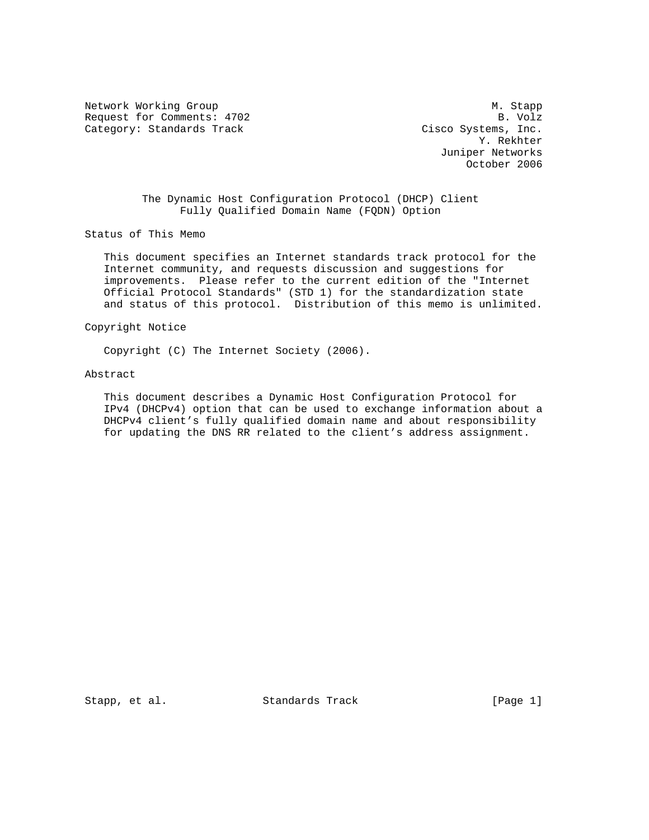Network Working Group Manuscript and Manuscript Manuscript Manuscript Manuscript Manuscript Manuscript Manuscri Request for Comments: 4702 B. Volz Category: Standards Track Cisco Systems, Inc.

 Y. Rekhter Juniper Networks October 2006

 The Dynamic Host Configuration Protocol (DHCP) Client Fully Qualified Domain Name (FQDN) Option

Status of This Memo

 This document specifies an Internet standards track protocol for the Internet community, and requests discussion and suggestions for improvements. Please refer to the current edition of the "Internet Official Protocol Standards" (STD 1) for the standardization state and status of this protocol. Distribution of this memo is unlimited.

#### Copyright Notice

Copyright (C) The Internet Society (2006).

#### Abstract

 This document describes a Dynamic Host Configuration Protocol for IPv4 (DHCPv4) option that can be used to exchange information about a DHCPv4 client's fully qualified domain name and about responsibility for updating the DNS RR related to the client's address assignment.

Stapp, et al. Standards Track [Page 1]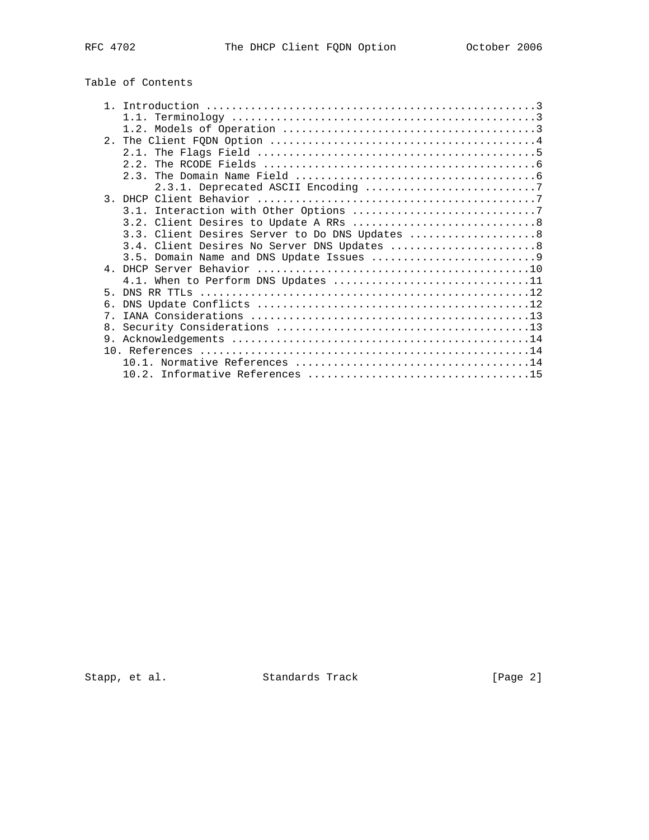# Table of Contents

|    | 1.1.                                            |
|----|-------------------------------------------------|
|    |                                                 |
|    |                                                 |
|    |                                                 |
|    | 2, 2                                            |
|    |                                                 |
|    |                                                 |
|    |                                                 |
|    |                                                 |
|    |                                                 |
|    | 3.3. Client Desires Server to Do DNS Updates  8 |
|    | 3.4. Client Desires No Server DNS Updates  8    |
|    |                                                 |
|    |                                                 |
|    | 4.1. When to Perform DNS Updates 11             |
| 5  |                                                 |
| 6. |                                                 |
| 7  |                                                 |
| 8. |                                                 |
| 9. |                                                 |
|    |                                                 |
|    |                                                 |
|    |                                                 |

Stapp, et al. Standards Track [Page 2]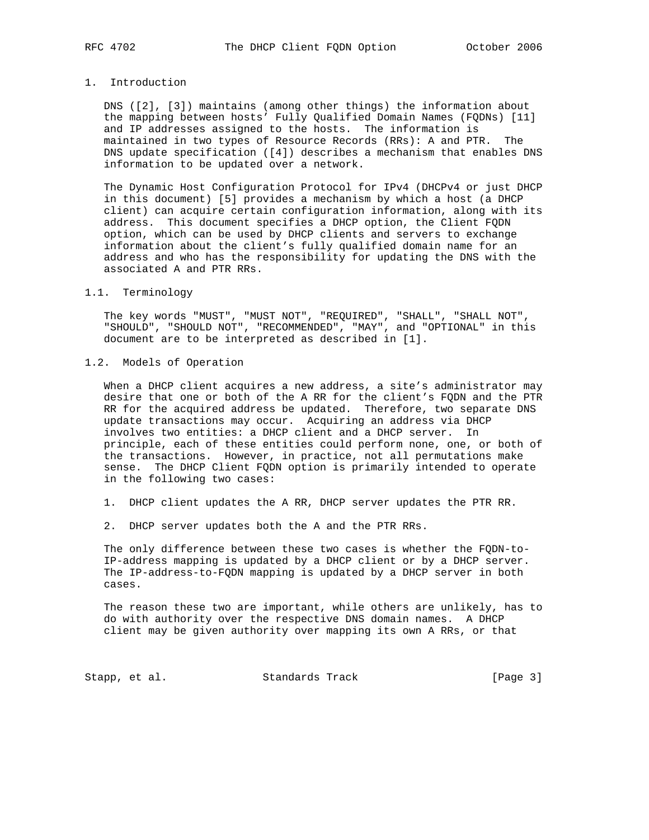# 1. Introduction

 DNS ([2], [3]) maintains (among other things) the information about the mapping between hosts' Fully Qualified Domain Names (FQDNs) [11] and IP addresses assigned to the hosts. The information is maintained in two types of Resource Records (RRs): A and PTR. The DNS update specification ([4]) describes a mechanism that enables DNS information to be updated over a network.

 The Dynamic Host Configuration Protocol for IPv4 (DHCPv4 or just DHCP in this document) [5] provides a mechanism by which a host (a DHCP client) can acquire certain configuration information, along with its address. This document specifies a DHCP option, the Client FQDN option, which can be used by DHCP clients and servers to exchange information about the client's fully qualified domain name for an address and who has the responsibility for updating the DNS with the associated A and PTR RRs.

# 1.1. Terminology

 The key words "MUST", "MUST NOT", "REQUIRED", "SHALL", "SHALL NOT", "SHOULD", "SHOULD NOT", "RECOMMENDED", "MAY", and "OPTIONAL" in this document are to be interpreted as described in [1].

1.2. Models of Operation

When a DHCP client acquires a new address, a site's administrator may desire that one or both of the A RR for the client's FQDN and the PTR RR for the acquired address be updated. Therefore, two separate DNS update transactions may occur. Acquiring an address via DHCP involves two entities: a DHCP client and a DHCP server. In principle, each of these entities could perform none, one, or both of the transactions. However, in practice, not all permutations make sense. The DHCP Client FQDN option is primarily intended to operate in the following two cases:

- 1. DHCP client updates the A RR, DHCP server updates the PTR RR.
- 2. DHCP server updates both the A and the PTR RRs.

 The only difference between these two cases is whether the FQDN-to- IP-address mapping is updated by a DHCP client or by a DHCP server. The IP-address-to-FQDN mapping is updated by a DHCP server in both cases.

 The reason these two are important, while others are unlikely, has to do with authority over the respective DNS domain names. A DHCP client may be given authority over mapping its own A RRs, or that

Stapp, et al. Standards Track [Page 3]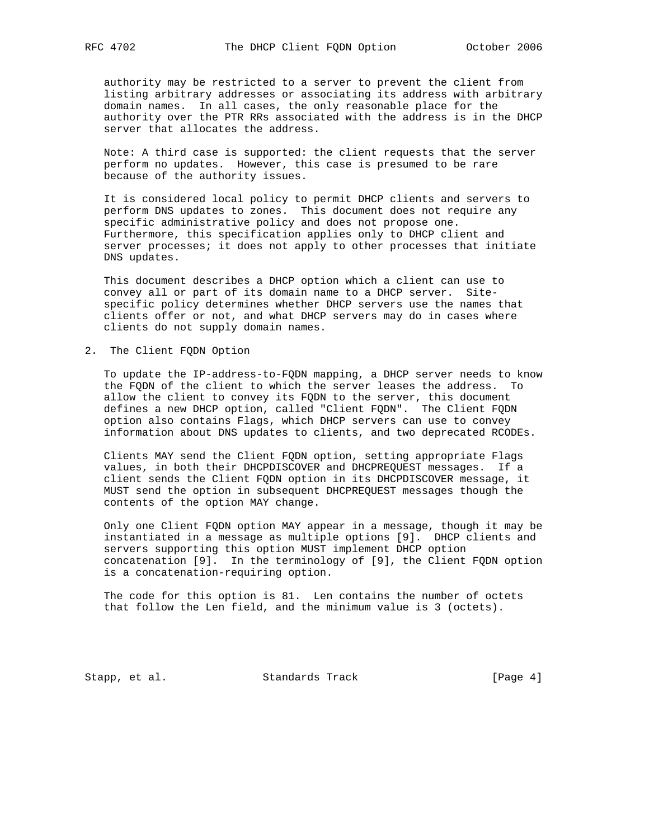authority may be restricted to a server to prevent the client from listing arbitrary addresses or associating its address with arbitrary domain names. In all cases, the only reasonable place for the authority over the PTR RRs associated with the address is in the DHCP server that allocates the address.

 Note: A third case is supported: the client requests that the server perform no updates. However, this case is presumed to be rare because of the authority issues.

 It is considered local policy to permit DHCP clients and servers to perform DNS updates to zones. This document does not require any specific administrative policy and does not propose one. Furthermore, this specification applies only to DHCP client and server processes; it does not apply to other processes that initiate DNS updates.

 This document describes a DHCP option which a client can use to convey all or part of its domain name to a DHCP server. Site specific policy determines whether DHCP servers use the names that clients offer or not, and what DHCP servers may do in cases where clients do not supply domain names.

# 2. The Client FQDN Option

 To update the IP-address-to-FQDN mapping, a DHCP server needs to know the FQDN of the client to which the server leases the address. To allow the client to convey its FQDN to the server, this document defines a new DHCP option, called "Client FQDN". The Client FQDN option also contains Flags, which DHCP servers can use to convey information about DNS updates to clients, and two deprecated RCODEs.

 Clients MAY send the Client FQDN option, setting appropriate Flags values, in both their DHCPDISCOVER and DHCPREQUEST messages. If a client sends the Client FQDN option in its DHCPDISCOVER message, it MUST send the option in subsequent DHCPREQUEST messages though the contents of the option MAY change.

 Only one Client FQDN option MAY appear in a message, though it may be instantiated in a message as multiple options [9]. DHCP clients and servers supporting this option MUST implement DHCP option concatenation [9]. In the terminology of [9], the Client FQDN option is a concatenation-requiring option.

 The code for this option is 81. Len contains the number of octets that follow the Len field, and the minimum value is 3 (octets).

Stapp, et al. Standards Track [Page 4]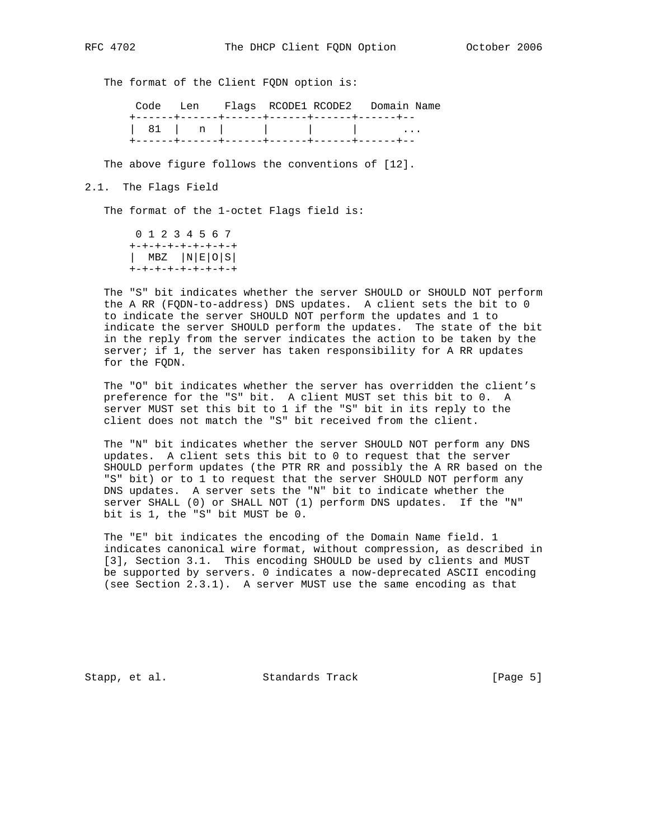The format of the Client FQDN option is:

 Code Len Flags RCODE1 RCODE2 Domain Name +------+------+------+------+------+------+-- | 81 | n | | | | | +------+------+------+------+------+------+--

The above figure follows the conventions of [12].

#### 2.1. The Flags Field

The format of the 1-octet Flags field is:

 0 1 2 3 4 5 6 7 +-+-+-+-+-+-+-+-+ | MBZ |N|E|O|S| +-+-+-+-+-+-+-+-+

 The "S" bit indicates whether the server SHOULD or SHOULD NOT perform the A RR (FQDN-to-address) DNS updates. A client sets the bit to 0 to indicate the server SHOULD NOT perform the updates and 1 to indicate the server SHOULD perform the updates. The state of the bit in the reply from the server indicates the action to be taken by the server; if 1, the server has taken responsibility for A RR updates for the FQDN.

 The "O" bit indicates whether the server has overridden the client's preference for the "S" bit. A client MUST set this bit to 0. A server MUST set this bit to 1 if the "S" bit in its reply to the client does not match the "S" bit received from the client.

 The "N" bit indicates whether the server SHOULD NOT perform any DNS updates. A client sets this bit to 0 to request that the server SHOULD perform updates (the PTR RR and possibly the A RR based on the "S" bit) or to 1 to request that the server SHOULD NOT perform any DNS updates. A server sets the "N" bit to indicate whether the server SHALL (0) or SHALL NOT (1) perform DNS updates. If the "N" bit is 1, the "S" bit MUST be 0.

 The "E" bit indicates the encoding of the Domain Name field. 1 indicates canonical wire format, without compression, as described in [3], Section 3.1. This encoding SHOULD be used by clients and MUST be supported by servers. 0 indicates a now-deprecated ASCII encoding (see Section 2.3.1). A server MUST use the same encoding as that

Stapp, et al. Standards Track [Page 5]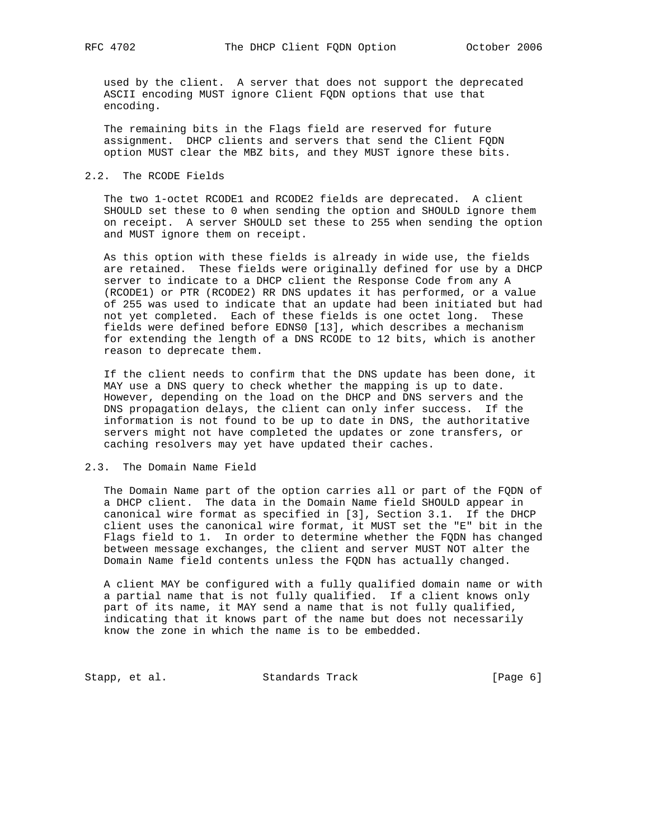used by the client. A server that does not support the deprecated ASCII encoding MUST ignore Client FQDN options that use that encoding.

 The remaining bits in the Flags field are reserved for future assignment. DHCP clients and servers that send the Client FQDN option MUST clear the MBZ bits, and they MUST ignore these bits.

#### 2.2. The RCODE Fields

 The two 1-octet RCODE1 and RCODE2 fields are deprecated. A client SHOULD set these to 0 when sending the option and SHOULD ignore them on receipt. A server SHOULD set these to 255 when sending the option and MUST ignore them on receipt.

 As this option with these fields is already in wide use, the fields are retained. These fields were originally defined for use by a DHCP server to indicate to a DHCP client the Response Code from any A (RCODE1) or PTR (RCODE2) RR DNS updates it has performed, or a value of 255 was used to indicate that an update had been initiated but had not yet completed. Each of these fields is one octet long. These fields were defined before EDNS0 [13], which describes a mechanism for extending the length of a DNS RCODE to 12 bits, which is another reason to deprecate them.

 If the client needs to confirm that the DNS update has been done, it MAY use a DNS query to check whether the mapping is up to date. However, depending on the load on the DHCP and DNS servers and the DNS propagation delays, the client can only infer success. If the information is not found to be up to date in DNS, the authoritative servers might not have completed the updates or zone transfers, or caching resolvers may yet have updated their caches.

# 2.3. The Domain Name Field

 The Domain Name part of the option carries all or part of the FQDN of a DHCP client. The data in the Domain Name field SHOULD appear in canonical wire format as specified in [3], Section 3.1. If the DHCP client uses the canonical wire format, it MUST set the "E" bit in the Flags field to 1. In order to determine whether the FQDN has changed between message exchanges, the client and server MUST NOT alter the Domain Name field contents unless the FQDN has actually changed.

 A client MAY be configured with a fully qualified domain name or with a partial name that is not fully qualified. If a client knows only part of its name, it MAY send a name that is not fully qualified, indicating that it knows part of the name but does not necessarily know the zone in which the name is to be embedded.

Stapp, et al. Standards Track [Page 6]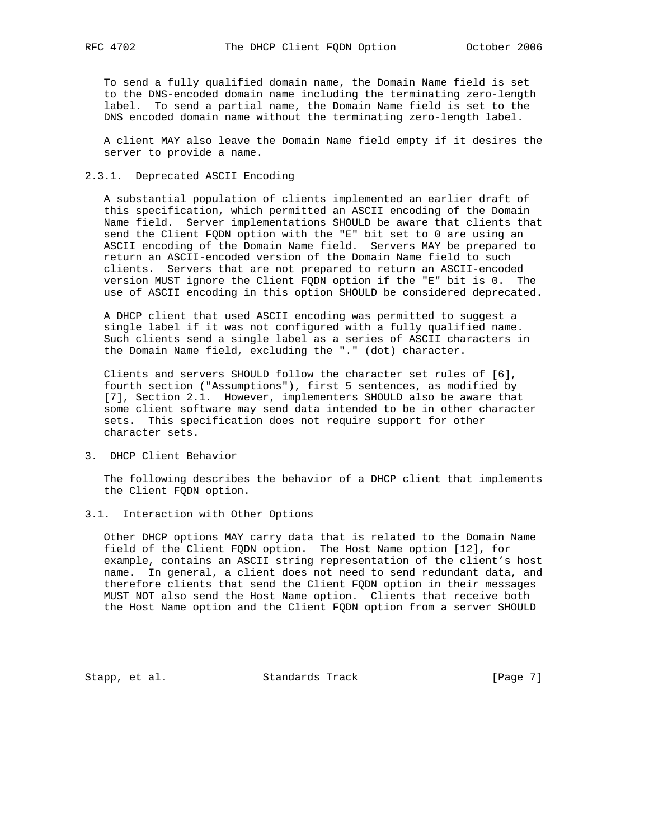To send a fully qualified domain name, the Domain Name field is set to the DNS-encoded domain name including the terminating zero-length label. To send a partial name, the Domain Name field is set to the DNS encoded domain name without the terminating zero-length label.

 A client MAY also leave the Domain Name field empty if it desires the server to provide a name.

# 2.3.1. Deprecated ASCII Encoding

 A substantial population of clients implemented an earlier draft of this specification, which permitted an ASCII encoding of the Domain Name field. Server implementations SHOULD be aware that clients that send the Client FQDN option with the "E" bit set to 0 are using an ASCII encoding of the Domain Name field. Servers MAY be prepared to return an ASCII-encoded version of the Domain Name field to such clients. Servers that are not prepared to return an ASCII-encoded version MUST ignore the Client FQDN option if the "E" bit is 0. The use of ASCII encoding in this option SHOULD be considered deprecated.

 A DHCP client that used ASCII encoding was permitted to suggest a single label if it was not configured with a fully qualified name. Such clients send a single label as a series of ASCII characters in the Domain Name field, excluding the "." (dot) character.

 Clients and servers SHOULD follow the character set rules of [6], fourth section ("Assumptions"), first 5 sentences, as modified by [7], Section 2.1. However, implementers SHOULD also be aware that some client software may send data intended to be in other character sets. This specification does not require support for other character sets.

3. DHCP Client Behavior

 The following describes the behavior of a DHCP client that implements the Client FQDN option.

3.1. Interaction with Other Options

 Other DHCP options MAY carry data that is related to the Domain Name field of the Client FQDN option. The Host Name option [12], for example, contains an ASCII string representation of the client's host name. In general, a client does not need to send redundant data, and therefore clients that send the Client FQDN option in their messages MUST NOT also send the Host Name option. Clients that receive both the Host Name option and the Client FQDN option from a server SHOULD

Stapp, et al. Standards Track [Page 7]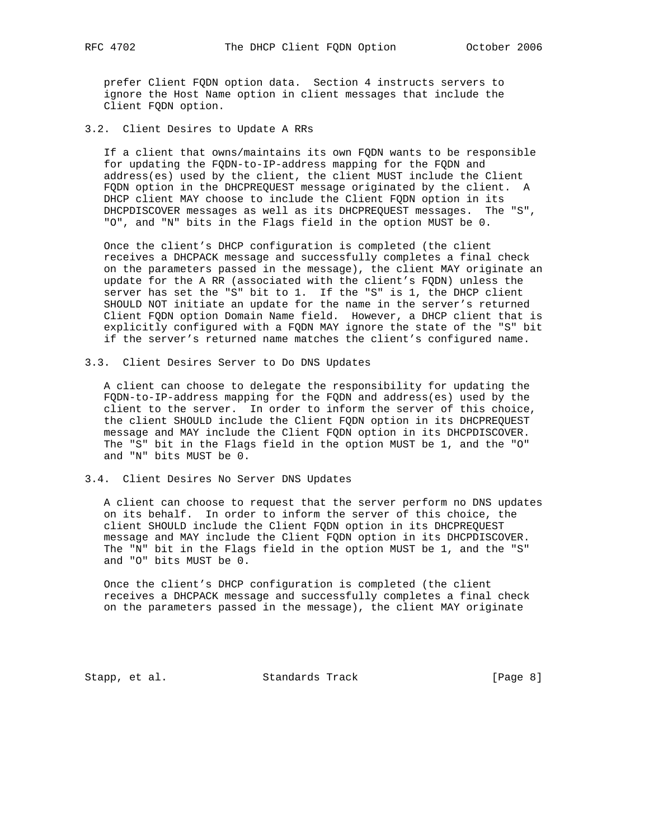prefer Client FQDN option data. Section 4 instructs servers to ignore the Host Name option in client messages that include the Client FQDN option.

3.2. Client Desires to Update A RRs

 If a client that owns/maintains its own FQDN wants to be responsible for updating the FQDN-to-IP-address mapping for the FQDN and address(es) used by the client, the client MUST include the Client FQDN option in the DHCPREQUEST message originated by the client. A DHCP client MAY choose to include the Client FQDN option in its DHCPDISCOVER messages as well as its DHCPREQUEST messages. The "S", "O", and "N" bits in the Flags field in the option MUST be 0.

 Once the client's DHCP configuration is completed (the client receives a DHCPACK message and successfully completes a final check on the parameters passed in the message), the client MAY originate an update for the A RR (associated with the client's FQDN) unless the server has set the "S" bit to 1. If the "S" is 1, the DHCP client SHOULD NOT initiate an update for the name in the server's returned Client FQDN option Domain Name field. However, a DHCP client that is explicitly configured with a FQDN MAY ignore the state of the "S" bit if the server's returned name matches the client's configured name.

3.3. Client Desires Server to Do DNS Updates

 A client can choose to delegate the responsibility for updating the FQDN-to-IP-address mapping for the FQDN and address(es) used by the client to the server. In order to inform the server of this choice, the client SHOULD include the Client FQDN option in its DHCPREQUEST message and MAY include the Client FQDN option in its DHCPDISCOVER. The "S" bit in the Flags field in the option MUST be 1, and the "O" and "N" bits MUST be 0.

3.4. Client Desires No Server DNS Updates

 A client can choose to request that the server perform no DNS updates on its behalf. In order to inform the server of this choice, the client SHOULD include the Client FQDN option in its DHCPREQUEST message and MAY include the Client FQDN option in its DHCPDISCOVER. The "N" bit in the Flags field in the option MUST be 1, and the "S" and "O" bits MUST be 0.

 Once the client's DHCP configuration is completed (the client receives a DHCPACK message and successfully completes a final check on the parameters passed in the message), the client MAY originate

Stapp, et al. Standards Track [Page 8]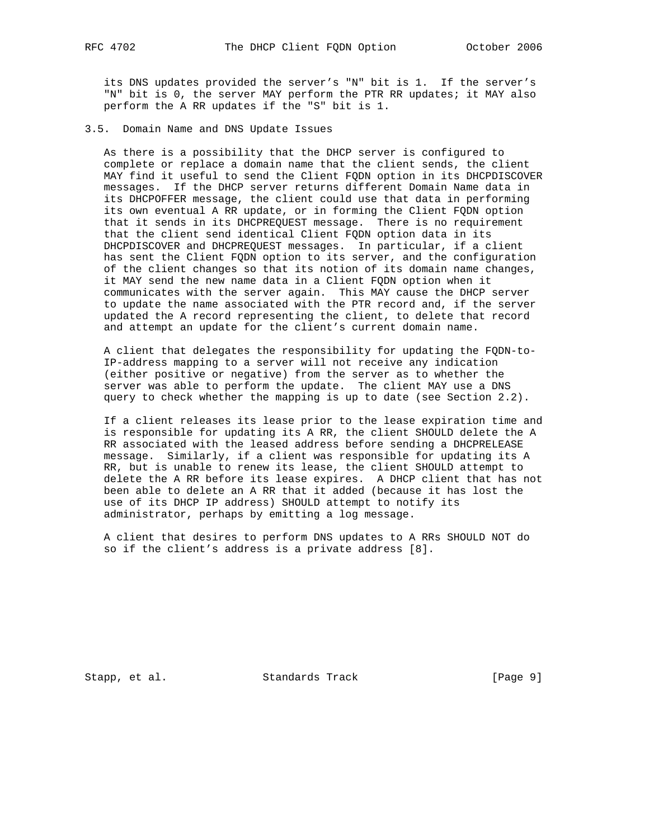its DNS updates provided the server's "N" bit is 1. If the server's "N" bit is 0, the server MAY perform the PTR RR updates; it MAY also perform the A RR updates if the "S" bit is 1.

3.5. Domain Name and DNS Update Issues

 As there is a possibility that the DHCP server is configured to complete or replace a domain name that the client sends, the client MAY find it useful to send the Client FQDN option in its DHCPDISCOVER messages. If the DHCP server returns different Domain Name data in its DHCPOFFER message, the client could use that data in performing its own eventual A RR update, or in forming the Client FQDN option that it sends in its DHCPREQUEST message. There is no requirement that the client send identical Client FQDN option data in its DHCPDISCOVER and DHCPREQUEST messages. In particular, if a client has sent the Client FQDN option to its server, and the configuration of the client changes so that its notion of its domain name changes, it MAY send the new name data in a Client FQDN option when it communicates with the server again. This MAY cause the DHCP server to update the name associated with the PTR record and, if the server updated the A record representing the client, to delete that record and attempt an update for the client's current domain name.

 A client that delegates the responsibility for updating the FQDN-to- IP-address mapping to a server will not receive any indication (either positive or negative) from the server as to whether the server was able to perform the update. The client MAY use a DNS query to check whether the mapping is up to date (see Section 2.2).

 If a client releases its lease prior to the lease expiration time and is responsible for updating its A RR, the client SHOULD delete the A RR associated with the leased address before sending a DHCPRELEASE message. Similarly, if a client was responsible for updating its A RR, but is unable to renew its lease, the client SHOULD attempt to delete the A RR before its lease expires. A DHCP client that has not been able to delete an A RR that it added (because it has lost the use of its DHCP IP address) SHOULD attempt to notify its administrator, perhaps by emitting a log message.

 A client that desires to perform DNS updates to A RRs SHOULD NOT do so if the client's address is a private address [8].

Stapp, et al. Standards Track [Page 9]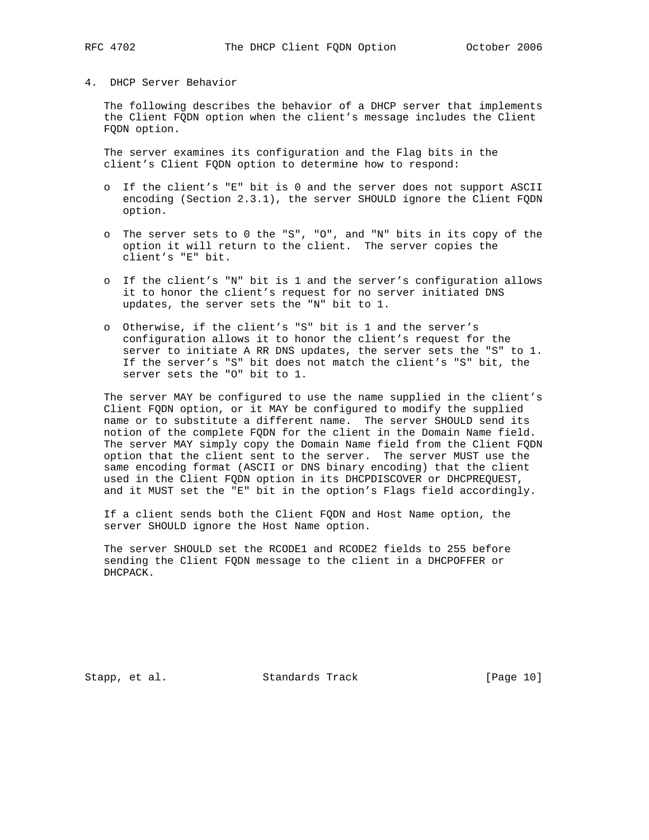# 4. DHCP Server Behavior

 The following describes the behavior of a DHCP server that implements the Client FQDN option when the client's message includes the Client FQDN option.

 The server examines its configuration and the Flag bits in the client's Client FQDN option to determine how to respond:

- o If the client's "E" bit is 0 and the server does not support ASCII encoding (Section 2.3.1), the server SHOULD ignore the Client FQDN option.
- o The server sets to 0 the "S", "O", and "N" bits in its copy of the option it will return to the client. The server copies the client's "E" bit.
- o If the client's "N" bit is 1 and the server's configuration allows it to honor the client's request for no server initiated DNS updates, the server sets the "N" bit to 1.
- o Otherwise, if the client's "S" bit is 1 and the server's configuration allows it to honor the client's request for the server to initiate A RR DNS updates, the server sets the "S" to 1. If the server's "S" bit does not match the client's "S" bit, the server sets the "O" bit to 1.

 The server MAY be configured to use the name supplied in the client's Client FQDN option, or it MAY be configured to modify the supplied name or to substitute a different name. The server SHOULD send its notion of the complete FQDN for the client in the Domain Name field. The server MAY simply copy the Domain Name field from the Client FQDN option that the client sent to the server. The server MUST use the same encoding format (ASCII or DNS binary encoding) that the client used in the Client FQDN option in its DHCPDISCOVER or DHCPREQUEST, and it MUST set the "E" bit in the option's Flags field accordingly.

 If a client sends both the Client FQDN and Host Name option, the server SHOULD ignore the Host Name option.

 The server SHOULD set the RCODE1 and RCODE2 fields to 255 before sending the Client FQDN message to the client in a DHCPOFFER or DHCPACK.

Stapp, et al. Standards Track [Page 10]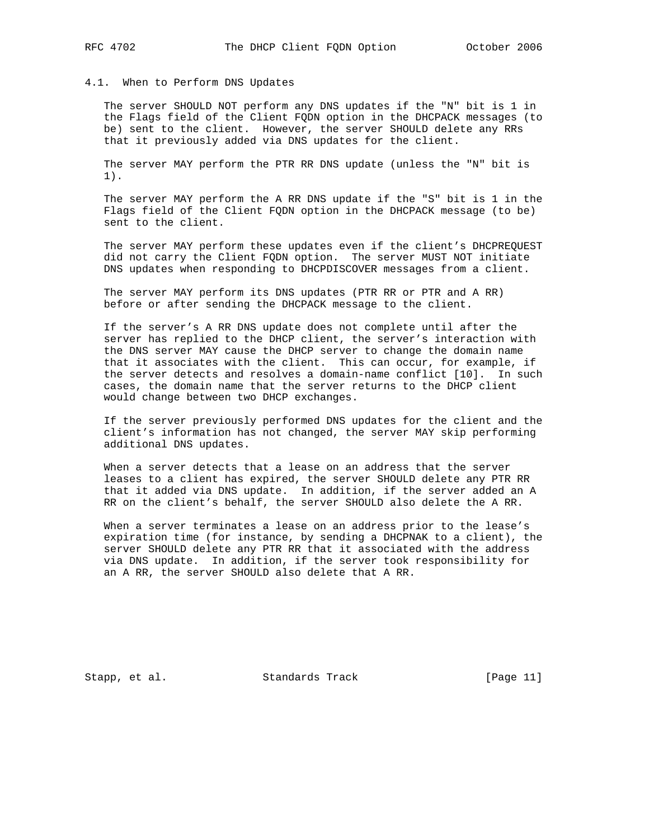# 4.1. When to Perform DNS Updates

 The server SHOULD NOT perform any DNS updates if the "N" bit is 1 in the Flags field of the Client FQDN option in the DHCPACK messages (to be) sent to the client. However, the server SHOULD delete any RRs that it previously added via DNS updates for the client.

 The server MAY perform the PTR RR DNS update (unless the "N" bit is 1).

 The server MAY perform the A RR DNS update if the "S" bit is 1 in the Flags field of the Client FQDN option in the DHCPACK message (to be) sent to the client.

 The server MAY perform these updates even if the client's DHCPREQUEST did not carry the Client FQDN option. The server MUST NOT initiate DNS updates when responding to DHCPDISCOVER messages from a client.

 The server MAY perform its DNS updates (PTR RR or PTR and A RR) before or after sending the DHCPACK message to the client.

 If the server's A RR DNS update does not complete until after the server has replied to the DHCP client, the server's interaction with the DNS server MAY cause the DHCP server to change the domain name that it associates with the client. This can occur, for example, if the server detects and resolves a domain-name conflict [10]. In such cases, the domain name that the server returns to the DHCP client would change between two DHCP exchanges.

 If the server previously performed DNS updates for the client and the client's information has not changed, the server MAY skip performing additional DNS updates.

 When a server detects that a lease on an address that the server leases to a client has expired, the server SHOULD delete any PTR RR that it added via DNS update. In addition, if the server added an A RR on the client's behalf, the server SHOULD also delete the A RR.

 When a server terminates a lease on an address prior to the lease's expiration time (for instance, by sending a DHCPNAK to a client), the server SHOULD delete any PTR RR that it associated with the address via DNS update. In addition, if the server took responsibility for an A RR, the server SHOULD also delete that A RR.

Stapp, et al. Standards Track [Page 11]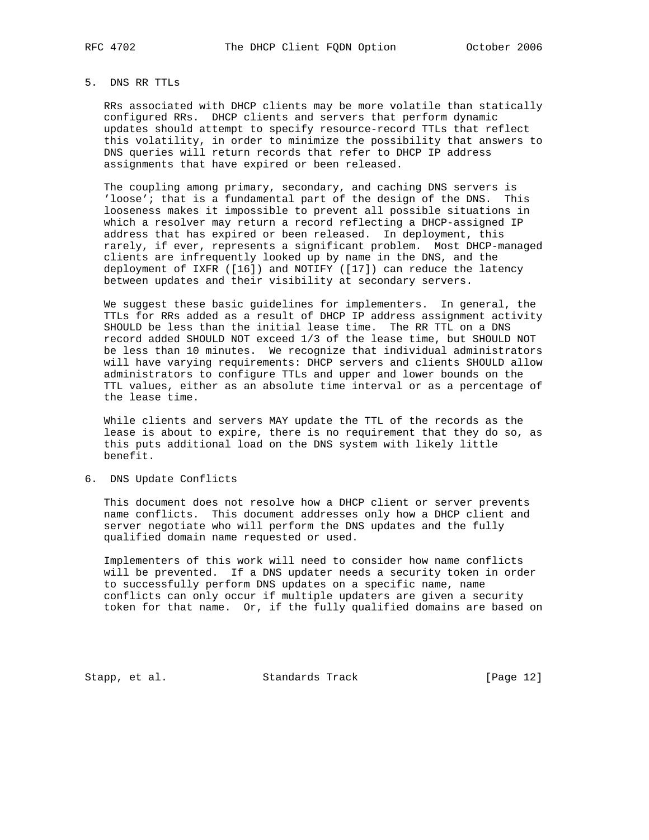# 5. DNS RR TTLs

 RRs associated with DHCP clients may be more volatile than statically configured RRs. DHCP clients and servers that perform dynamic updates should attempt to specify resource-record TTLs that reflect this volatility, in order to minimize the possibility that answers to DNS queries will return records that refer to DHCP IP address assignments that have expired or been released.

 The coupling among primary, secondary, and caching DNS servers is 'loose'; that is a fundamental part of the design of the DNS. This looseness makes it impossible to prevent all possible situations in which a resolver may return a record reflecting a DHCP-assigned IP address that has expired or been released. In deployment, this rarely, if ever, represents a significant problem. Most DHCP-managed clients are infrequently looked up by name in the DNS, and the deployment of IXFR ([16]) and NOTIFY ([17]) can reduce the latency between updates and their visibility at secondary servers.

 We suggest these basic guidelines for implementers. In general, the TTLs for RRs added as a result of DHCP IP address assignment activity SHOULD be less than the initial lease time. The RR TTL on a DNS record added SHOULD NOT exceed 1/3 of the lease time, but SHOULD NOT be less than 10 minutes. We recognize that individual administrators will have varying requirements: DHCP servers and clients SHOULD allow administrators to configure TTLs and upper and lower bounds on the TTL values, either as an absolute time interval or as a percentage of the lease time.

 While clients and servers MAY update the TTL of the records as the lease is about to expire, there is no requirement that they do so, as this puts additional load on the DNS system with likely little benefit.

6. DNS Update Conflicts

 This document does not resolve how a DHCP client or server prevents name conflicts. This document addresses only how a DHCP client and server negotiate who will perform the DNS updates and the fully qualified domain name requested or used.

 Implementers of this work will need to consider how name conflicts will be prevented. If a DNS updater needs a security token in order to successfully perform DNS updates on a specific name, name conflicts can only occur if multiple updaters are given a security token for that name. Or, if the fully qualified domains are based on

Stapp, et al. Standards Track [Page 12]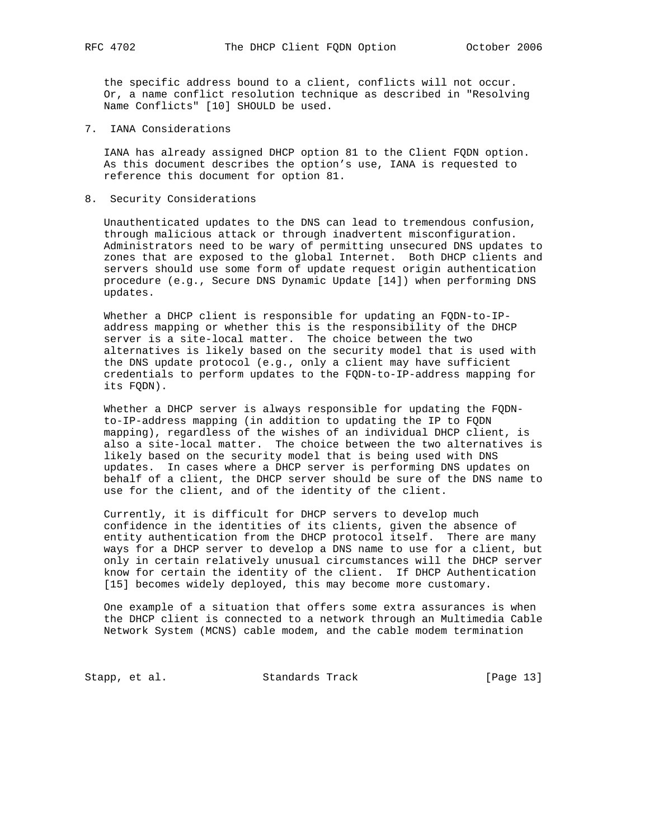the specific address bound to a client, conflicts will not occur. Or, a name conflict resolution technique as described in "Resolving Name Conflicts" [10] SHOULD be used.

7. IANA Considerations

 IANA has already assigned DHCP option 81 to the Client FQDN option. As this document describes the option's use, IANA is requested to reference this document for option 81.

8. Security Considerations

 Unauthenticated updates to the DNS can lead to tremendous confusion, through malicious attack or through inadvertent misconfiguration. Administrators need to be wary of permitting unsecured DNS updates to zones that are exposed to the global Internet. Both DHCP clients and servers should use some form of update request origin authentication procedure (e.g., Secure DNS Dynamic Update [14]) when performing DNS updates.

 Whether a DHCP client is responsible for updating an FQDN-to-IP address mapping or whether this is the responsibility of the DHCP server is a site-local matter. The choice between the two alternatives is likely based on the security model that is used with the DNS update protocol (e.g., only a client may have sufficient credentials to perform updates to the FQDN-to-IP-address mapping for its FQDN).

 Whether a DHCP server is always responsible for updating the FQDN to-IP-address mapping (in addition to updating the IP to FQDN mapping), regardless of the wishes of an individual DHCP client, is also a site-local matter. The choice between the two alternatives is likely based on the security model that is being used with DNS updates. In cases where a DHCP server is performing DNS updates on behalf of a client, the DHCP server should be sure of the DNS name to use for the client, and of the identity of the client.

 Currently, it is difficult for DHCP servers to develop much confidence in the identities of its clients, given the absence of entity authentication from the DHCP protocol itself. There are many ways for a DHCP server to develop a DNS name to use for a client, but only in certain relatively unusual circumstances will the DHCP server know for certain the identity of the client. If DHCP Authentication [15] becomes widely deployed, this may become more customary.

 One example of a situation that offers some extra assurances is when the DHCP client is connected to a network through an Multimedia Cable Network System (MCNS) cable modem, and the cable modem termination

Stapp, et al. Standards Track [Page 13]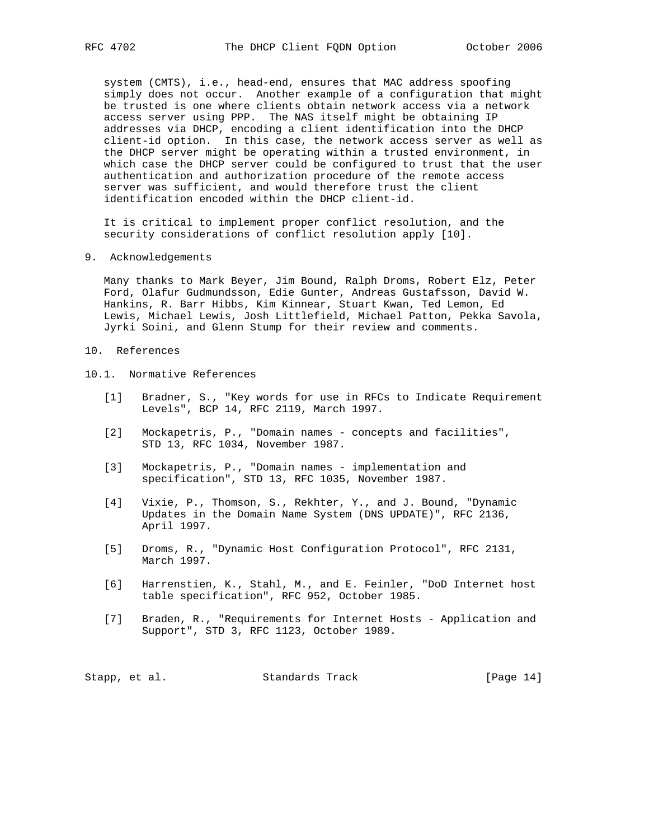system (CMTS), i.e., head-end, ensures that MAC address spoofing simply does not occur. Another example of a configuration that might be trusted is one where clients obtain network access via a network access server using PPP. The NAS itself might be obtaining IP addresses via DHCP, encoding a client identification into the DHCP client-id option. In this case, the network access server as well as the DHCP server might be operating within a trusted environment, in which case the DHCP server could be configured to trust that the user authentication and authorization procedure of the remote access server was sufficient, and would therefore trust the client identification encoded within the DHCP client-id.

 It is critical to implement proper conflict resolution, and the security considerations of conflict resolution apply [10].

9. Acknowledgements

 Many thanks to Mark Beyer, Jim Bound, Ralph Droms, Robert Elz, Peter Ford, Olafur Gudmundsson, Edie Gunter, Andreas Gustafsson, David W. Hankins, R. Barr Hibbs, Kim Kinnear, Stuart Kwan, Ted Lemon, Ed Lewis, Michael Lewis, Josh Littlefield, Michael Patton, Pekka Savola, Jyrki Soini, and Glenn Stump for their review and comments.

# 10. References

- 10.1. Normative References
	- [1] Bradner, S., "Key words for use in RFCs to Indicate Requirement Levels", BCP 14, RFC 2119, March 1997.
	- [2] Mockapetris, P., "Domain names concepts and facilities", STD 13, RFC 1034, November 1987.
	- [3] Mockapetris, P., "Domain names implementation and specification", STD 13, RFC 1035, November 1987.
	- [4] Vixie, P., Thomson, S., Rekhter, Y., and J. Bound, "Dynamic Updates in the Domain Name System (DNS UPDATE)", RFC 2136, April 1997.
	- [5] Droms, R., "Dynamic Host Configuration Protocol", RFC 2131, March 1997.
	- [6] Harrenstien, K., Stahl, M., and E. Feinler, "DoD Internet host table specification", RFC 952, October 1985.
	- [7] Braden, R., "Requirements for Internet Hosts Application and Support", STD 3, RFC 1123, October 1989.

| Stapp, et al. |  | Standards Track | [Page $14$ ] |  |  |
|---------------|--|-----------------|--------------|--|--|
|---------------|--|-----------------|--------------|--|--|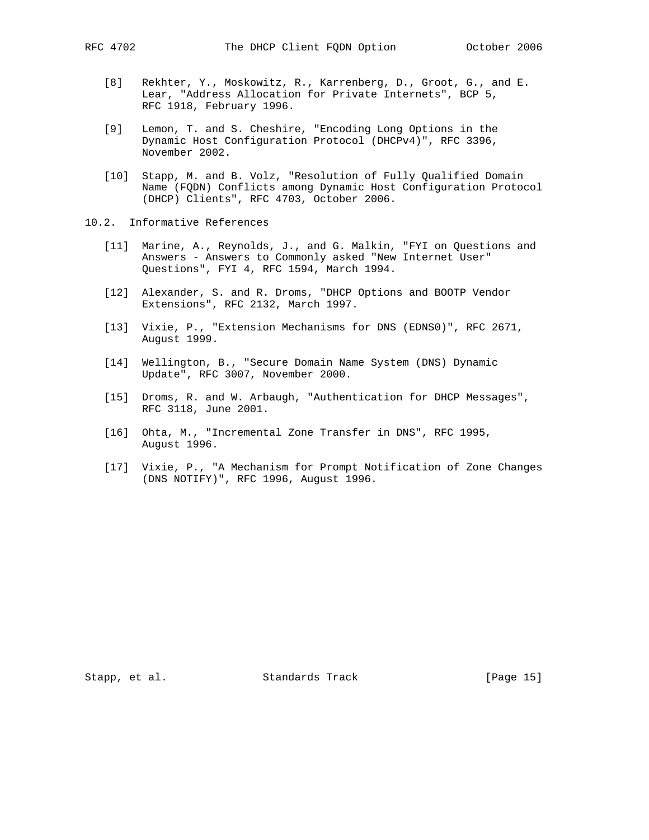- - [8] Rekhter, Y., Moskowitz, R., Karrenberg, D., Groot, G., and E. Lear, "Address Allocation for Private Internets", BCP 5, RFC 1918, February 1996.
	- [9] Lemon, T. and S. Cheshire, "Encoding Long Options in the Dynamic Host Configuration Protocol (DHCPv4)", RFC 3396, November 2002.
	- [10] Stapp, M. and B. Volz, "Resolution of Fully Qualified Domain Name (FQDN) Conflicts among Dynamic Host Configuration Protocol (DHCP) Clients", RFC 4703, October 2006.
- 10.2. Informative References
	- [11] Marine, A., Reynolds, J., and G. Malkin, "FYI on Questions and Answers - Answers to Commonly asked "New Internet User" Questions", FYI 4, RFC 1594, March 1994.
	- [12] Alexander, S. and R. Droms, "DHCP Options and BOOTP Vendor Extensions", RFC 2132, March 1997.
	- [13] Vixie, P., "Extension Mechanisms for DNS (EDNS0)", RFC 2671, August 1999.
	- [14] Wellington, B., "Secure Domain Name System (DNS) Dynamic Update", RFC 3007, November 2000.
	- [15] Droms, R. and W. Arbaugh, "Authentication for DHCP Messages", RFC 3118, June 2001.
	- [16] Ohta, M., "Incremental Zone Transfer in DNS", RFC 1995, August 1996.
	- [17] Vixie, P., "A Mechanism for Prompt Notification of Zone Changes (DNS NOTIFY)", RFC 1996, August 1996.

Stapp, et al. Standards Track [Page 15]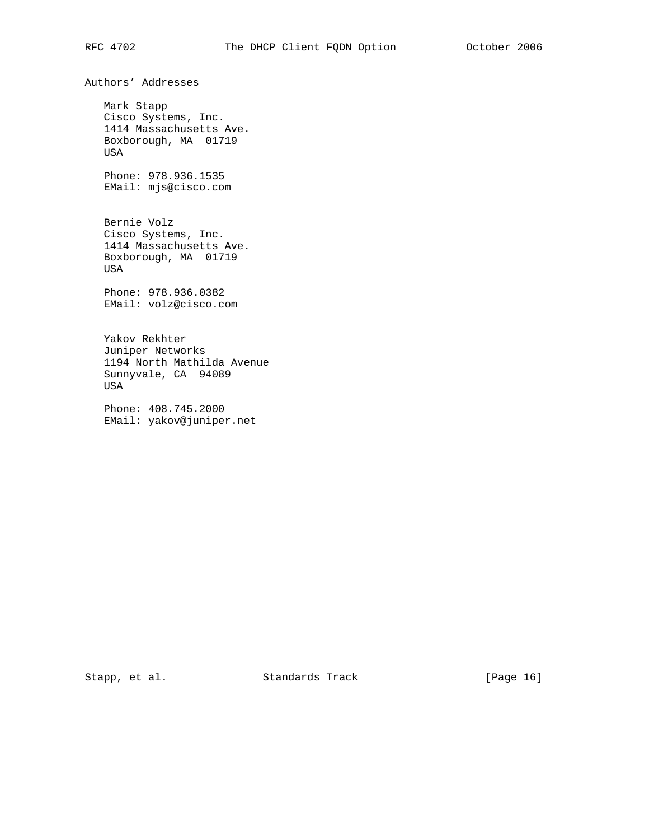Authors' Addresses

 Mark Stapp Cisco Systems, Inc. 1414 Massachusetts Ave. Boxborough, MA 01719 USA

 Phone: 978.936.1535 EMail: mjs@cisco.com

 Bernie Volz Cisco Systems, Inc. 1414 Massachusetts Ave. Boxborough, MA 01719 USA

 Phone: 978.936.0382 EMail: volz@cisco.com

 Yakov Rekhter Juniper Networks 1194 North Mathilda Avenue Sunnyvale, CA 94089 USA

 Phone: 408.745.2000 EMail: yakov@juniper.net

Stapp, et al. Standards Track [Page 16]